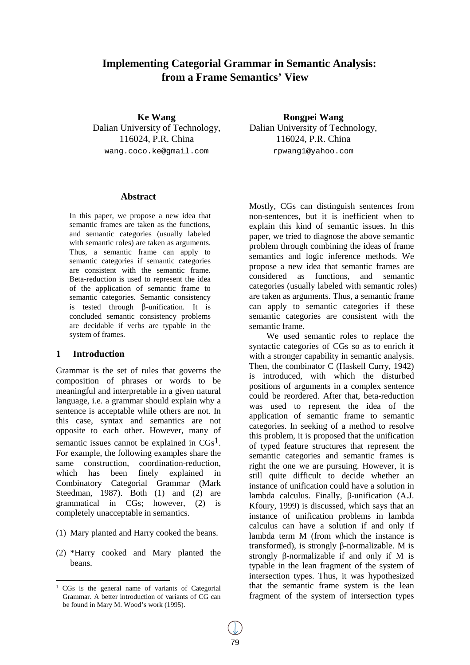# **Implementing Categorial Grammar in Semantic Analysis: from a Frame Semantics' View**

**Ke Wang** Dalian University of Technology, 116024, P.R. China wang.coco.ke@gmail.com

**Rongpei Wang** Dalian University of Technology, 116024, P.R. China rpwang1@yahoo.com

### **Abstract**

In this paper, we propose a new idea that semantic frames are taken as the functions, and semantic categories (usually labeled with semantic roles) are taken as arguments. Thus, a semantic frame can apply to semantic categories if semantic categories are consistent with the semantic frame. Beta-reduction is used to represent the idea of the application of semantic frame to semantic categories. Semantic consistency is tested through β-unification. It is concluded semantic consistency problems are decidable if verbs are typable in the system of frames.

#### **1 Introduction**

Grammar is the set of rules that governs the composition of phrases or words to be meaningful and interpretable in a given natural language, i.e. a grammar should explain why a sentence is acceptable while others are not. In this case, syntax and semantics are not opposite to each other. However, many of semantic issues cannot be explained in  $CGs<sup>1</sup>$ . For example, the following examples share the same construction, coordination-reduction, which has been finely explained in Combinatory Categorial Grammar (Mark Steedman, 1987). Both (1) and (2) are grammatical in CGs; however, (2) is completely unacceptable in semantics.

- (1) Mary planted and Harry cooked the beans.
- (2) \*Harry cooked and Mary planted the beans.

Mostly, CGs can distinguish sentences from non-sentences, but it is inefficient when to explain this kind of semantic issues. In this paper, we tried to diagnose the above semantic problem through combining the ideas of frame semantics and logic inference methods. We propose a new idea that semantic frames are considered as functions, and semantic categories (usually labeled with semantic roles) are taken as arguments. Thus, a semantic frame can apply to semantic categories if these semantic categories are consistent with the semantic frame.

We used semantic roles to replace the syntactic categories of CGs so as to enrich it with a stronger capability in semantic analysis. Then, the combinator C (Haskell Curry, 1942) is introduced, with which the disturbed positions of arguments in a complex sentence could be reordered. After that, beta-reduction was used to represent the idea of the application of semantic frame to semantic categories. In seeking of a method to resolve this problem, it is proposed that the unification of typed feature structures that represent the semantic categories and semantic frames is right the one we are pursuing. However, it is still quite difficult to decide whether an instance of unification could have a solution in lambda calculus. Finally, β-unification (A.J. Kfoury, 1999) is discussed, which says that an instance of unification problems in lambda calculus can have a solution if and only if lambda term M (from which the instance is transformed), is strongly β-normalizable. M is strongly β-normalizable if and only if M is typable in the lean fragment of the system of intersection types. Thus, it was hypothesized that the semantic frame system is the lean fragment of the system of intersection types

<sup>&</sup>lt;sup>1</sup> CGs is the general name of variants of Categorial Grammar. A better introduction of variants of CG can be found in Mary M. Wood's work (1995).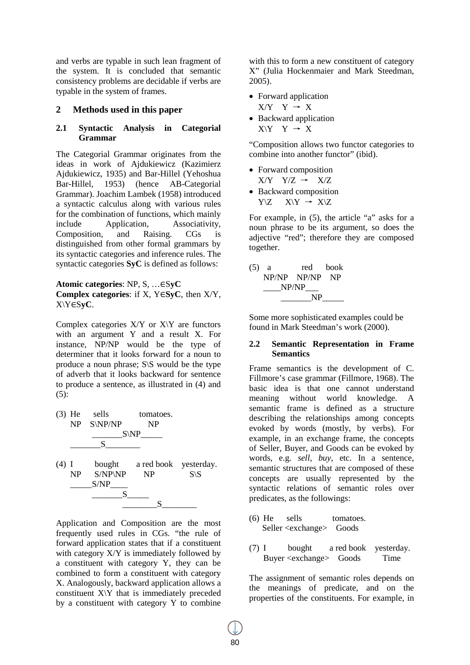and verbs are typable in such lean fragment of the system. It is concluded that semantic consistency problems are decidable if verbs are typable in the system of frames.

#### **2 Methods used in this paper**

#### **2.1 Syntactic Analysis in Categorial Grammar**

The Categorial Grammar originates from the ideas in work of Ajdukiewicz (Kazimierz Ajdukiewicz, 1935) and Bar-Hillel (Yehoshua Bar-Hillel, 1953) (hence AB-Categorial Grammar). Joachim Lambek (1958) introduced a syntactic calculus along with various rules for the combination of functions, which mainly include Application, Associativity, Composition, and Raising. CGs is distinguished from other formal grammars by its syntactic categories and inference rules. The syntactic categories **SyC** is defined as follows:

**Atomic categories**: NP, S, …∈S**yC Complex categories**: if X, Y∈**SyC**, then X/Y, X\Y∈S**yC**.

Complex categories  $X/Y$  or  $X\Y$  are functors with an argument Y and a result X. For instance, NP/NP would be the type of determiner that it looks forward for a noun to produce a noun phrase;  $S \ S$  would be the type of adverb that it looks backward for sentence to produce a sentence, as illustrated in (4) and  $(5)$ :



Application and Composition are the most frequently used rules in CGs. "the rule of forward application states that if a constituent with category  $X/Y$  is immediately followed by a constituent with category Y, they can be combined to form a constituent with category X. Analogously, backward application allows a constituent X\Y that is immediately preceded by a constituent with category Y to combine

with this to form a new constituent of category X" (Julia Hockenmaier and Mark Steedman, 2005).

- Forward application  $X/Y$   $Y \rightarrow X$
- Backward application  $X\Y Y \rightarrow X$

"Composition allows two functor categories to combine into another functor" (ibid).

• Forward composition  $X/Y$   $Y/Z \rightarrow X/Z$ • Backward composition  $Y\setminus Z$   $X\setminus Y \rightarrow X\setminus Z$ 

For example, in (5), the article "a" asks for a noun phrase to be its argument, so does the adjective "red"; therefore they are composed together.

(5) a red book NP/NP NP/NP NP  $NP/NP$  $NP$ 

Some more sophisticated examples could be found in Mark Steedman's work (2000).

#### **2.2 Semantic Representation in Frame Semantics**

Frame semantics is the development of C. Fillmore's case grammar (Fillmore, 1968). The basic idea is that one cannot understand meaning without world knowledge. A semantic frame is defined as a structure describing the relationships among concepts evoked by words (mostly, by verbs). For example, in an exchange frame, the concepts of Seller, Buyer, and Goods can be evoked by words, e.g. *sell*, *buy*, etc. In a sentence, semantic structures that are composed of these concepts are usually represented by the syntactic relations of semantic roles over predicates, as the followings:

- (6) He sells tomatoes. Seller <exchange> Goods
- (7) I bought a red book yesterday. Buyer <exchange> Goods Time

The assignment of semantic roles depends on the meanings of predicate, and on the properties of the constituents. For example, in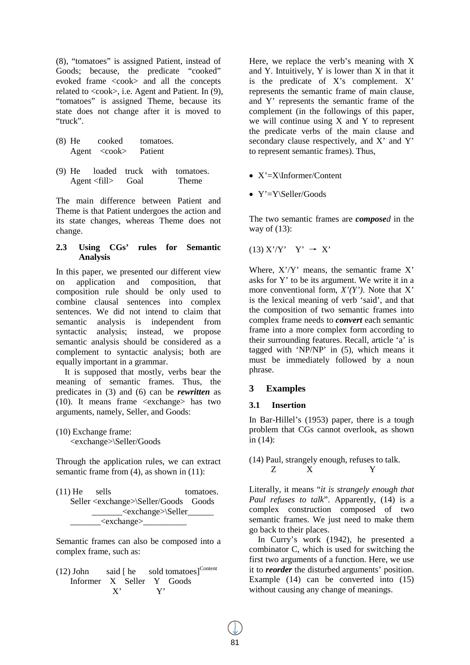(8), "tomatoes" is assigned Patient, instead of Goods; because, the predicate "cooked" evoked frame <cook> and all the concepts related to  $\langle \cosh \rangle$ , i.e. Agent and Patient. In (9), "tomatoes" is assigned Theme, because its state does not change after it is moved to "truck".

- (8) He cooked tomatoes. Agent <cook> Patient
- (9) He loaded truck with tomatoes. Agent <fill> Goal Theme

The main difference between Patient and Theme is that Patient undergoes the action and its state changes, whereas Theme does not change.

#### **2.3 Using CGs' rules for Semantic Analysis**

In this paper, we presented our different view on application and composition, that composition rule should be only used to combine clausal sentences into complex sentences. We did not intend to claim that semantic analysis is independent from syntactic analysis; instead, we propose semantic analysis should be considered as a complement to syntactic analysis; both are equally important in a grammar.

It is supposed that mostly, verbs bear the meaning of semantic frames. Thus, the predicates in (3) and (6) can be *rewritten* as (10). It means frame <exchange> has two arguments, namely, Seller, and Goods:

(10) Exchange frame: <exchange>\Seller/Goods

Through the application rules, we can extract semantic frame from (4), as shown in (11):

| $(11)$ He sells |                                                 | tomatoes. |
|-----------------|-------------------------------------------------|-----------|
|                 | Seller <exchange>\Seller/Goods Goods</exchange> |           |
|                 | <exchange>\Seller_______</exchange>             |           |
|                 | <exchange></exchange>                           |           |

Semantic frames can also be composed into a complex frame, such as:

 $(12)$  John said [ he sold tomatoes]<sup>Content</sup> Informer X Seller Y Goods X' Y'

Here, we replace the verb's meaning with X and Y. Intuitively, Y is lower than X in that it is the predicate of X's complement. X' represents the semantic frame of main clause, and Y' represents the semantic frame of the complement (in the followings of this paper, we will continue using X and Y to represent the predicate verbs of the main clause and secondary clause respectively, and X' and Y' to represent semantic frames). Thus,

- X'=X\Informer/Content
- Y'=Y\Seller/Goods

The two semantic frames are *composed* in the way of (13):

$$
(13) X' / Y' Y' \rightarrow X'
$$

Where,  $X'$ / $Y'$  means, the semantic frame  $X'$ asks for Y' to be its argument. We write it in a more conventional form, *X'(Y')*. Note that X' is the lexical meaning of verb 'said', and that the composition of two semantic frames into complex frame needs to *convert* each semantic frame into a more complex form according to their surrounding features. Recall, article 'a' is tagged with 'NP/NP' in (5), which means it must be immediately followed by a noun phrase.

### **3 Examples**

### **3.1 Insertion**

In Bar-Hillel's (1953) paper, there is a tough problem that CGs cannot overlook, as shown in (14):

### (14) Paul, strangely enough, refuses to talk. Z X Y

Literally, it means "*it is strangely enough that Paul refuses to talk*". Apparently, (14) is a complex construction composed of two semantic frames. We just need to make them go back to their places.

In Curry's work (1942), he presented a combinator C, which is used for switching the first two arguments of a function. Here, we use it to *reorder* the disturbed arguments' position. Example (14) can be converted into (15) without causing any change of meanings.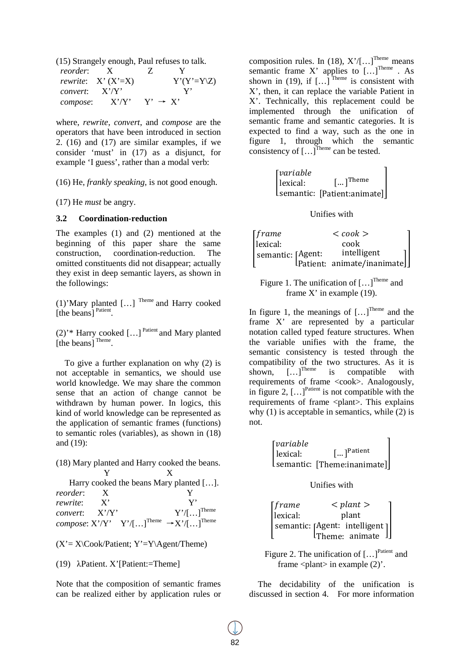(15) Strangely enough, Paul refuses to talk.

| reorder:                | $\mathbf{x}$                 | $\mathbb{Z}$        |                       |
|-------------------------|------------------------------|---------------------|-----------------------|
|                         | <i>rewrite</i> : $X' (X'=X)$ |                     | $Y'(Y'=Y\setminus Z)$ |
| <i>convert</i> : $X'Y'$ |                              |                     |                       |
| compose:                | X'/Y'                        | $Y' \rightarrow X'$ |                       |

where, *rewrite*, *convert*, and *compose* are the operators that have been introduced in section 2. (16) and (17) are similar examples, if we consider 'must' in (17) as a disjunct, for example 'I guess', rather than a modal verb:

(16) He, *frankly speaking*, is not good enough.

(17) He *must* be angry.

#### **3.2 Coordination-reduction**

The examples (1) and (2) mentioned at the beginning of this paper share the same construction, coordination-reduction. The omitted constituents did not disappear; actually they exist in deep semantic layers, as shown in the followings:

(1)'Mary planted […] Theme and Harry cooked [the beans]<sup>Patient</sup>.

(2)<sup>\*\*</sup> Harry cooked [...]<sup>Patient</sup> and Mary planted [the beans] Theme.

To give a further explanation on why (2) is not acceptable in semantics, we should use world knowledge. We may share the common sense that an action of change cannot be withdrawn by human power. In logics, this kind of world knowledge can be represented as the application of semantic frames (functions) to semantic roles (variables), as shown in (18) and (19):

(18) Mary planted and Harry cooked the beans. Y X

|               |              | Harry cooked the beans Mary planted [].                                     |
|---------------|--------------|-----------------------------------------------------------------------------|
| reorder:      | $\mathbf{X}$ |                                                                             |
| rewrite: X'   |              |                                                                             |
| convert: X'Y' |              | $Y'/[]^{\text{Theme}}$                                                      |
|               |              | <i>compose</i> : $X'Y'$ $Y'/[\dots]^{Theme} \rightarrow X'/[\dots]^{Theme}$ |

 $(X' = X\setminus \text{Cook/Patient}; Y' = Y\setminus \text{Agent/Theme})$ 

(19) λPatient. X'[Patient:=Theme]

Note that the composition of semantic frames can be realized either by application rules or

composition rules. In (18),  $X'/[...]^{\text{There}}$  means semantic frame X' applies to  $[...]^{\text{There}}$  . As shown in (19), if  $\left[ \ldots \right]$ <sup>Theme</sup> is consistent with X', then, it can replace the variable Patient in X'. Technically, this replacement could be implemented through the unification of semantic frame and semantic categories. It is expected to find a way, such as the one in figure 1, through which the semantic consistency of  $[...]^{\text{Time}}$  can be tested.

> � lexical: *<u>Tvariable</u>* semantic: [Patient:animate]  $\left[ ...\right]$ Theme �

> > Unifies with

| [frame]           |  | $<$ cook $>$                                                                                            |  |
|-------------------|--|---------------------------------------------------------------------------------------------------------|--|
| lexical:          |  |                                                                                                         |  |
| semantic: [Agent: |  | $\begin{bmatrix} \text{Agent:} & \text{icook} \\ \text{Pattern:} & \text{intelligent} \\ \end{bmatrix}$ |  |
|                   |  |                                                                                                         |  |

Figure 1. The unification of  $[...]^{\text{Time}}$  and frame X' in example (19).

In figure 1, the meanings of  $[...]^{\text{Time}}$  and the frame X' are represented by a particular notation called typed feature structures. When the variable unifies with the frame, the semantic consistency is tested through the compatibility of the two structures. As it is<br>shown,  $[\dots]^{Theme}$  is compatible with shown. is compatible with requirements of frame <cook>. Analogously, in figure 2,  $\left[ \ldots \right]$ <sup>Patient</sup> is not compatible with the requirements of frame <plant>. This explains why  $(1)$  is acceptable in semantics, while  $(2)$  is not.

$$
\begin{bmatrix} variable \\ lexical: & [...]^{Patient} \\ semantic: [The me:inanimate] \end{bmatrix}
$$

Unifies with

| [frame]  | $\langle$ plant $\rangle$                               |
|----------|---------------------------------------------------------|
| lexical: | plant                                                   |
|          | $[$ semantic: [Agent: intelligent]]<br>Theme: animate]] |
|          |                                                         |

Figure 2. The unification of [...]<sup>Patient</sup> and frame  $\langle$  plant $\rangle$  in example (2)'.

The decidability of the unification is discussed in section 4. For more information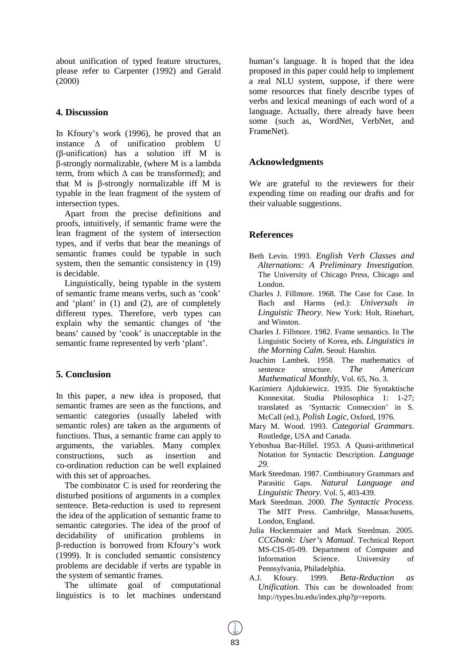about unification of typed feature structures, please refer to Carpenter (1992) and Gerald (2000)

## **4. Discussion**

In Kfoury's work (1996), he proved that an instance  $\Delta$  of unification problem U (β-unification) has a solution iff M is β-strongly normalizable, (where M is a lambda term, from which  $\Delta$  can be transformed); and that M is β-strongly normalizable iff M is typable in the lean fragment of the system of intersection types.

Apart from the precise definitions and proofs, intuitively, if semantic frame were the lean fragment of the system of intersection types, and if verbs that bear the meanings of semantic frames could be typable in such system, then the semantic consistency in (19) is decidable.

Linguistically, being typable in the system of semantic frame means verbs, such as 'cook' and 'plant' in (1) and (2), are of completely different types. Therefore, verb types can explain why the semantic changes of 'the beans' caused by 'cook' is unacceptable in the semantic frame represented by verb 'plant'.

## **5. Conclusion**

In this paper, a new idea is proposed, that semantic frames are seen as the functions, and semantic categories (usually labeled with semantic roles) are taken as the arguments of functions. Thus, a semantic frame can apply to arguments, the variables. Many complex constructions, such as insertion and co-ordination reduction can be well explained with this set of approaches.

The combinator C is used for reordering the disturbed positions of arguments in a complex sentence. Beta-reduction is used to represent the idea of the application of semantic frame to semantic categories. The idea of the proof of decidability of unification problems in β-reduction is borrowed from Kfoury's work (1999). It is concluded semantic consistency problems are decidable if verbs are typable in the system of semantic frames.

The ultimate goal of computational linguistics is to let machines understand human's language. It is hoped that the idea proposed in this paper could help to implement a real NLU system, suppose, if there were some resources that finely describe types of verbs and lexical meanings of each word of a language. Actually, there already have been some (such as, WordNet, VerbNet, and FrameNet).

## **Acknowledgments**

We are grateful to the reviewers for their expending time on reading our drafts and for their valuable suggestions.

## **References**

- Beth Levin. 1993. *English Verb Classes and Alternations: A Preliminary Investigation*. The University of Chicago Press, Chicago and London.
- Charles J. Fillmore. 1968. The Case for Case. In Bach and Harms (ed.): *Universals in Linguistic Theory*. New York: Holt, Rinehart, and Winston.
- Charles J. Fillmore. 1982. Frame semantics. In The Linguistic Society of Korea, eds. *Linguistics in the Morning Calm*. Seoul: Hanshin.
- Joachim Lambek. 1958. The mathematics of sentence structure. *The American Mathematical Monthly*, Vol. 65, No. 3.
- Kazimierz Ajdukiewicz. 1935. Die Syntaktische Konnexitat. Studia Philosophica 1: 1-27; translated as 'Syntactic Connecxion' in S. McCall (ed.), *Polish Logic*, Oxford, 1976.
- Mary M. Wood. 1993. *Categorial Grammars*. Routledge, USA and Canada.
- Yehoshua Bar-Hillel. 1953. A Quasi-arithmetical Notation for Syntactic Description. *Language 29*.
- Mark Steedman. 1987. Combinatory Grammars and Parasitic Gaps. *Natural Language and Linguistic Theory*. Vol. 5, 403-439.
- Mark Steedman. 2000. *The Syntactic Process*. The MIT Press. Cambridge, Massachusetts, London, England.
- Julia Hockenmaier and Mark Steedman. 2005. *CCGbank: User's Manual*. Technical Report MS-CIS-05-09. Department of Computer and Information Science. University of Pennsylvania, Philadelphia.
- A.J. Kfoury. 1999. *Beta-Reduction as Unification*. This can be downloaded from: http://types.bu.edu/index.php?p=reports.